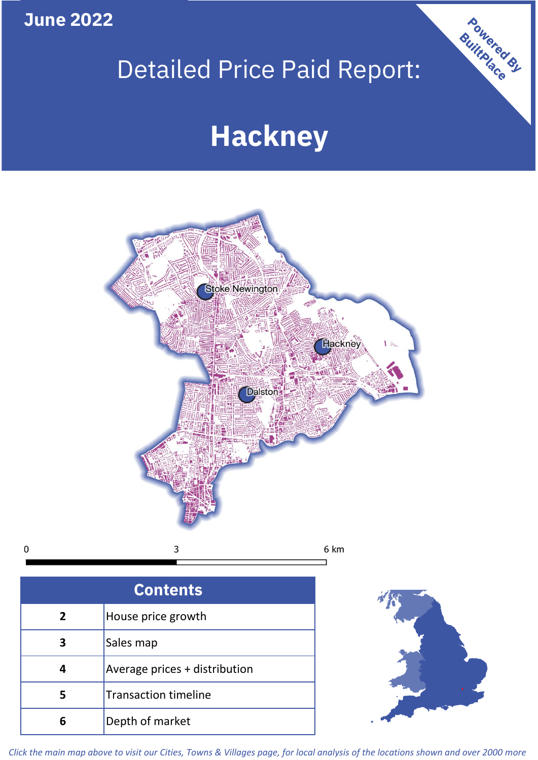**June 2022**

 $\mathbf 0$ 

## Detailed Price Paid Report:

# **Hackney**



| <b>Contents</b> |                               |  |  |
|-----------------|-------------------------------|--|--|
| $\overline{2}$  | House price growth            |  |  |
| 3               | Sales map                     |  |  |
| 4               | Average prices + distribution |  |  |
| 5               | <b>Transaction timeline</b>   |  |  |
|                 | Depth of market               |  |  |



Powered By

*Click the main map above to visit our Cities, Towns & Villages page, for local analysis of the locations shown and over 2000 more*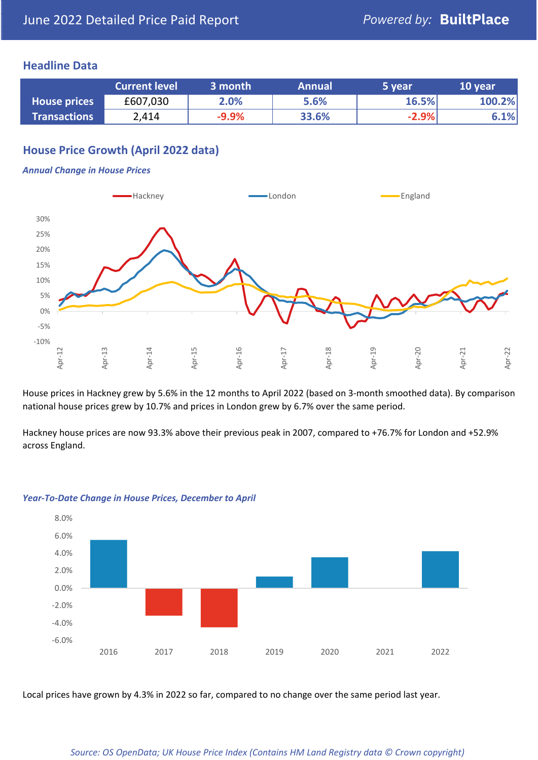#### **Headline Data**

|                     | <b>Current level</b> | 3 month | <b>Annual</b> | 5 year  | 10 year |
|---------------------|----------------------|---------|---------------|---------|---------|
| <b>House prices</b> | £607,030             | 2.0%    | 5.6%          | 16.5%   | 100.2%  |
| <b>Transactions</b> | 2,414                | $-9.9%$ | 33.6%         | $-2.9%$ | 6.1%    |

## **House Price Growth (April 2022 data)**

#### *Annual Change in House Prices*



House prices in Hackney grew by 5.6% in the 12 months to April 2022 (based on 3-month smoothed data). By comparison national house prices grew by 10.7% and prices in London grew by 6.7% over the same period.

Hackney house prices are now 93.3% above their previous peak in 2007, compared to +76.7% for London and +52.9% across England.



#### *Year-To-Date Change in House Prices, December to April*

Local prices have grown by 4.3% in 2022 so far, compared to no change over the same period last year.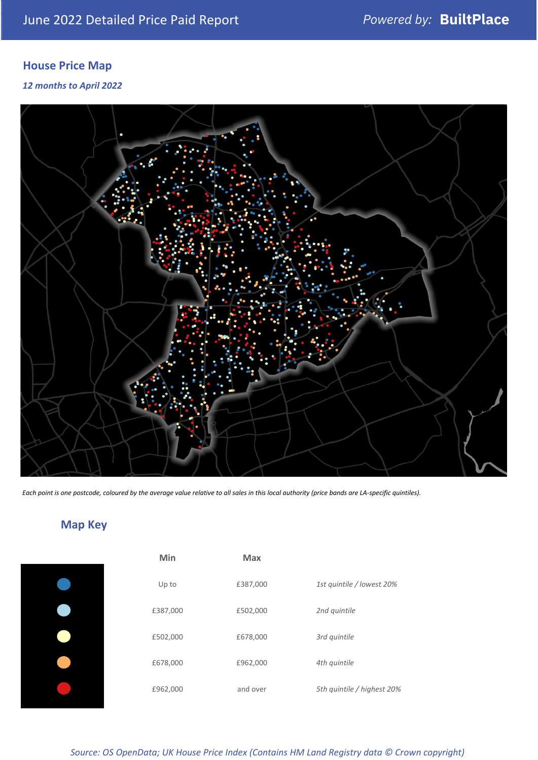## **House Price Map**

*12 months to April 2022*



*Each point is one postcode, coloured by the average value relative to all sales in this local authority (price bands are LA-specific quintiles).*

## **Map Key**

| Min      | <b>Max</b> |                            |
|----------|------------|----------------------------|
| Up to    | £387,000   | 1st quintile / lowest 20%  |
| £387,000 | £502,000   | 2nd quintile               |
| £502,000 | £678,000   | 3rd quintile               |
| £678,000 | £962,000   | 4th quintile               |
| £962,000 | and over   | 5th quintile / highest 20% |

*Source: OS OpenData; UK House Price Index (Contains HM Land Registry data © Crown copyright)*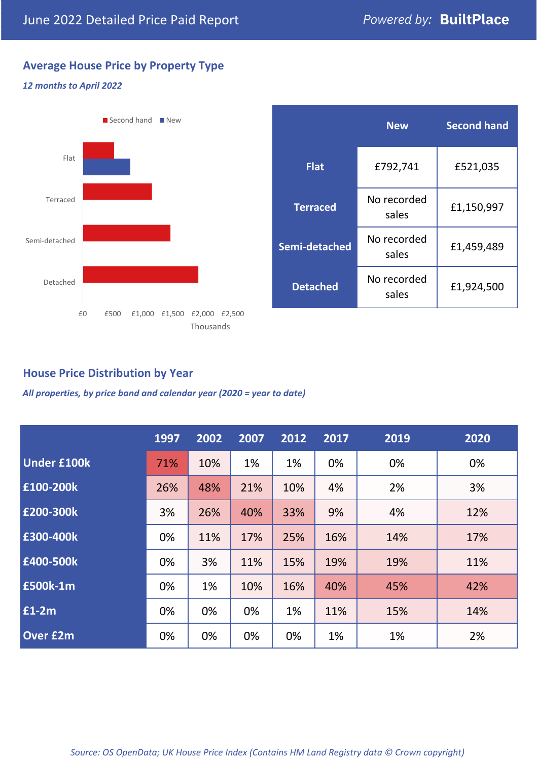## **Average House Price by Property Type**

#### *12 months to April 2022*



|                 | <b>New</b>           | <b>Second hand</b> |  |  |
|-----------------|----------------------|--------------------|--|--|
| <b>Flat</b>     | £792,741             | £521,035           |  |  |
| <b>Terraced</b> | No recorded<br>sales | £1,150,997         |  |  |
| Semi-detached   | No recorded<br>sales | £1,459,489         |  |  |
| <b>Detached</b> | No recorded<br>sales | £1,924,500         |  |  |

## **House Price Distribution by Year**

*All properties, by price band and calendar year (2020 = year to date)*

|                    | 1997 | 2002 | 2007 | 2012 | 2017 | 2019 | 2020 |
|--------------------|------|------|------|------|------|------|------|
| <b>Under £100k</b> | 71%  | 10%  | 1%   | 1%   | 0%   | 0%   | 0%   |
| £100-200k          | 26%  | 48%  | 21%  | 10%  | 4%   | 2%   | 3%   |
| £200-300k          | 3%   | 26%  | 40%  | 33%  | 9%   | 4%   | 12%  |
| E300-400k          | 0%   | 11%  | 17%  | 25%  | 16%  | 14%  | 17%  |
| £400-500k          | 0%   | 3%   | 11%  | 15%  | 19%  | 19%  | 11%  |
| <b>£500k-1m</b>    | 0%   | 1%   | 10%  | 16%  | 40%  | 45%  | 42%  |
| £1-2m              | 0%   | 0%   | 0%   | 1%   | 11%  | 15%  | 14%  |
| <b>Over £2m</b>    | 0%   | 0%   | 0%   | 0%   | 1%   | 1%   | 2%   |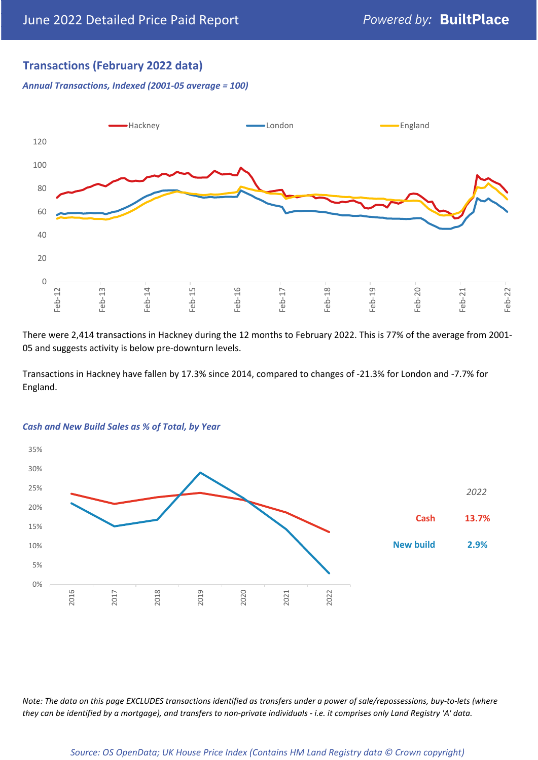## **Transactions (February 2022 data)**

*Annual Transactions, Indexed (2001-05 average = 100)*



There were 2,414 transactions in Hackney during the 12 months to February 2022. This is 77% of the average from 2001- 05 and suggests activity is below pre-downturn levels.

Transactions in Hackney have fallen by 17.3% since 2014, compared to changes of -21.3% for London and -7.7% for England.



#### *Cash and New Build Sales as % of Total, by Year*

*Note: The data on this page EXCLUDES transactions identified as transfers under a power of sale/repossessions, buy-to-lets (where they can be identified by a mortgage), and transfers to non-private individuals - i.e. it comprises only Land Registry 'A' data.*